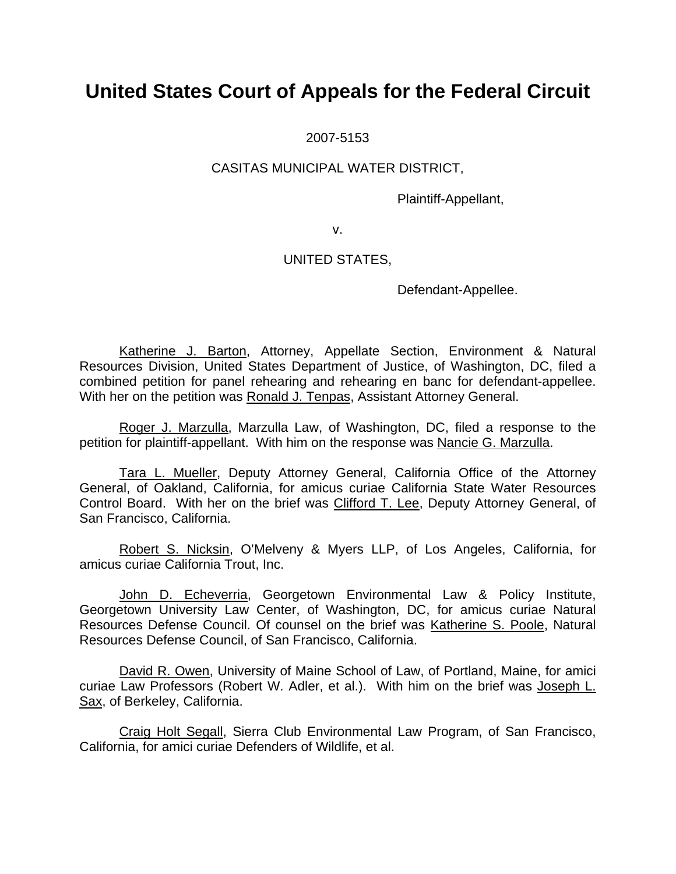2007-5153

### CASITAS MUNICIPAL WATER DISTRICT,

Plaintiff-Appellant,

v.

### UNITED STATES,

Defendant-Appellee.

Katherine J. Barton, Attorney, Appellate Section, Environment & Natural Resources Division, United States Department of Justice, of Washington, DC, filed a combined petition for panel rehearing and rehearing en banc for defendant-appellee. With her on the petition was Ronald J. Tenpas, Assistant Attorney General.

Roger J. Marzulla, Marzulla Law, of Washington, DC, filed a response to the petition for plaintiff-appellant. With him on the response was Nancie G. Marzulla.

Tara L. Mueller, Deputy Attorney General, California Office of the Attorney General, of Oakland, California, for amicus curiae California State Water Resources Control Board. With her on the brief was Clifford T. Lee, Deputy Attorney General, of San Francisco, California.

Robert S. Nicksin, O'Melveny & Myers LLP, of Los Angeles, California, for amicus curiae California Trout, Inc.

John D. Echeverria, Georgetown Environmental Law & Policy Institute, Georgetown University Law Center, of Washington, DC, for amicus curiae Natural Resources Defense Council. Of counsel on the brief was Katherine S. Poole, Natural Resources Defense Council, of San Francisco, California.

David R. Owen, University of Maine School of Law, of Portland, Maine, for amici curiae Law Professors (Robert W. Adler, et al.). With him on the brief was Joseph L. Sax, of Berkeley, California.

Craig Holt Segall, Sierra Club Environmental Law Program, of San Francisco, California, for amici curiae Defenders of Wildlife, et al.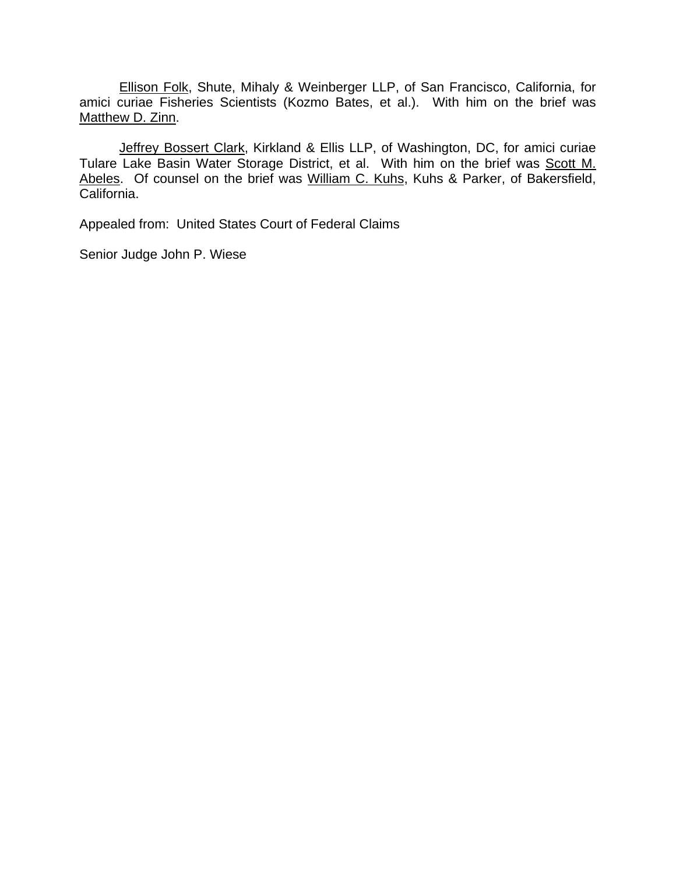Ellison Folk, Shute, Mihaly & Weinberger LLP, of San Francisco, California, for amici curiae Fisheries Scientists (Kozmo Bates, et al.). With him on the brief was Matthew D. Zinn.

Jeffrey Bossert Clark, Kirkland & Ellis LLP, of Washington, DC, for amici curiae Tulare Lake Basin Water Storage District, et al. With him on the brief was Scott M. Abeles. Of counsel on the brief was William C. Kuhs, Kuhs & Parker, of Bakersfield, California.

Appealed from: United States Court of Federal Claims

Senior Judge John P. Wiese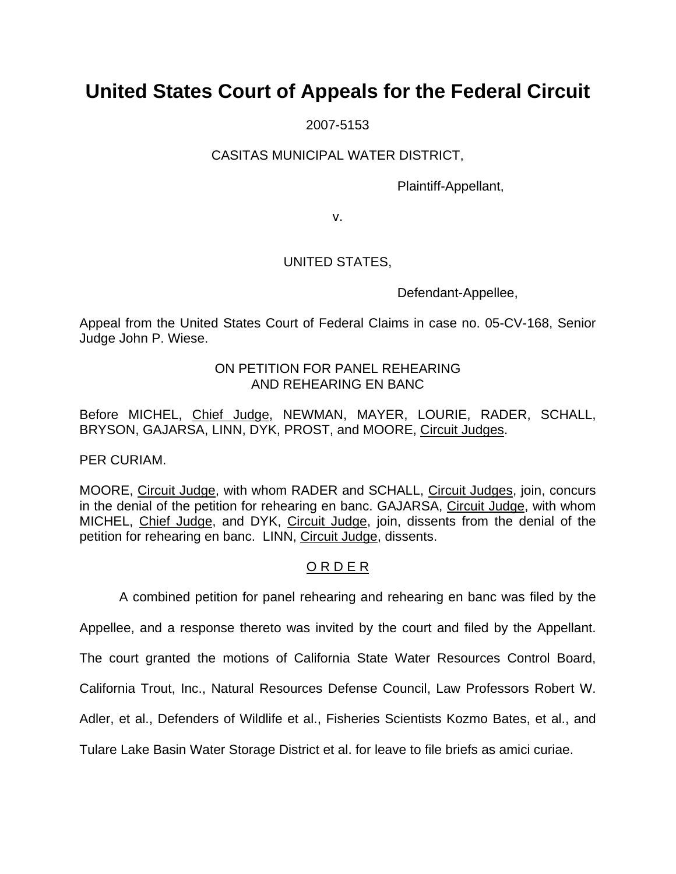2007-5153

### CASITAS MUNICIPAL WATER DISTRICT,

Plaintiff-Appellant,

v.

## UNITED STATES,

Defendant-Appellee,

Appeal from the United States Court of Federal Claims in case no. 05-CV-168, Senior Judge John P. Wiese.

## ON PETITION FOR PANEL REHEARING AND REHEARING EN BANC

Before MICHEL, Chief Judge, NEWMAN, MAYER, LOURIE, RADER, SCHALL, BRYSON, GAJARSA, LINN, DYK, PROST, and MOORE, Circuit Judges.

PER CURIAM.

MOORE, Circuit Judge, with whom RADER and SCHALL, Circuit Judges, join, concurs in the denial of the petition for rehearing en banc. GAJARSA, Circuit Judge, with whom MICHEL, Chief Judge, and DYK, Circuit Judge, join, dissents from the denial of the petition for rehearing en banc. LINN, Circuit Judge, dissents.

## O R D E R

A combined petition for panel rehearing and rehearing en banc was filed by the

Appellee, and a response thereto was invited by the court and filed by the Appellant.

The court granted the motions of California State Water Resources Control Board,

California Trout, Inc., Natural Resources Defense Council, Law Professors Robert W.

Adler, et al., Defenders of Wildlife et al., Fisheries Scientists Kozmo Bates, et al., and

Tulare Lake Basin Water Storage District et al. for leave to file briefs as amici curiae.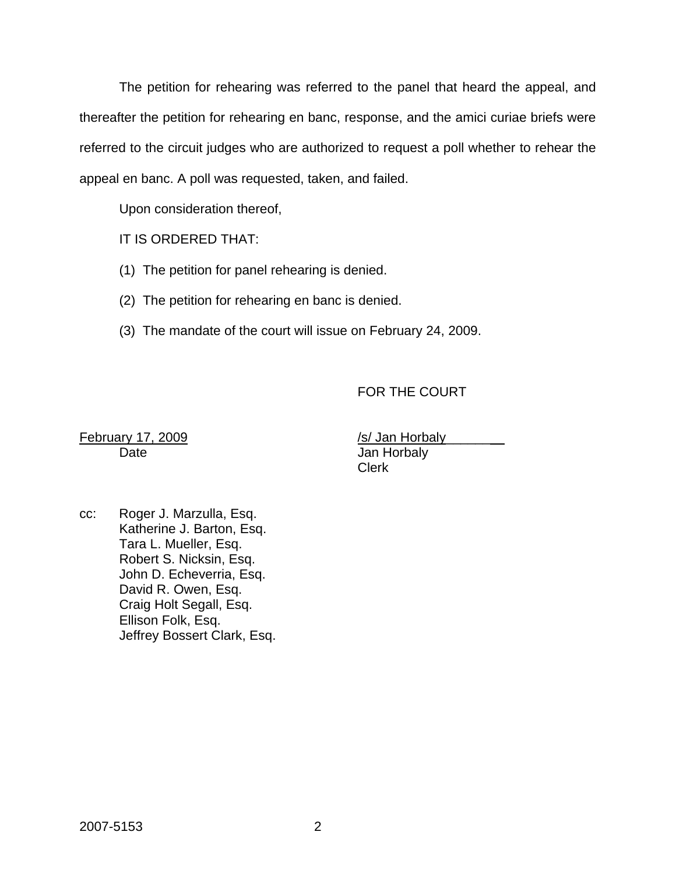The petition for rehearing was referred to the panel that heard the appeal, and thereafter the petition for rehearing en banc, response, and the amici curiae briefs were referred to the circuit judges who are authorized to request a poll whether to rehear the appeal en banc. A poll was requested, taken, and failed.

Upon consideration thereof,

IT IS ORDERED THAT:

(1) The petition for panel rehearing is denied.

(2) The petition for rehearing en banc is denied.

(3) The mandate of the court will issue on February 24, 2009.

FOR THE COURT

February 17, 2009 /s/ Jan Horbaly Date **Date** Jan Horbaly Clerk

cc: Roger J. Marzulla, Esq. Katherine J. Barton, Esq. Tara L. Mueller, Esq. Robert S. Nicksin, Esq. John D. Echeverria, Esq. David R. Owen, Esq. Craig Holt Segall, Esq. Ellison Folk, Esq. Jeffrey Bossert Clark, Esq.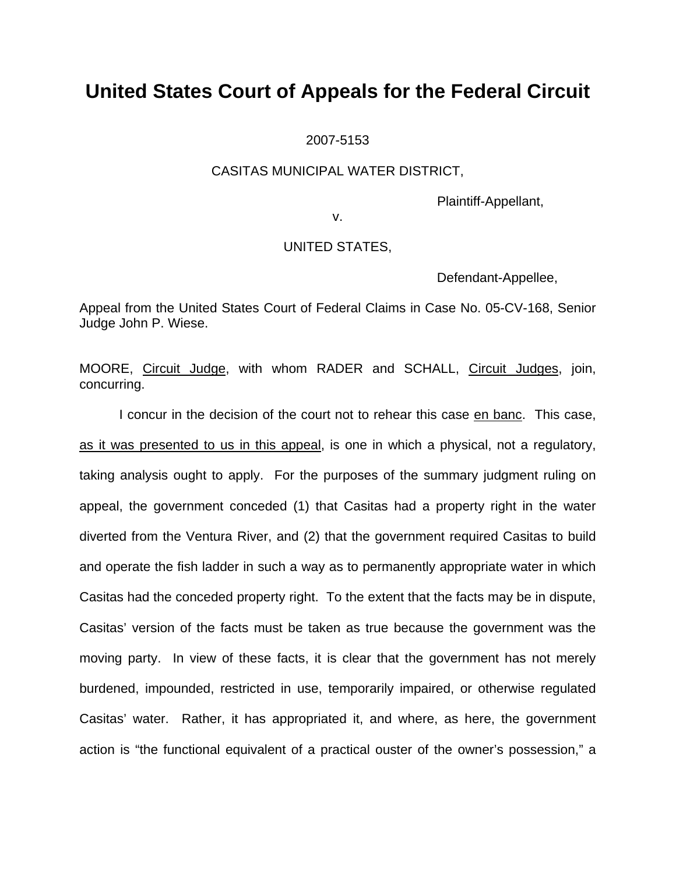2007-5153

### CASITAS MUNICIPAL WATER DISTRICT,

Plaintiff-Appellant,

v.

### UNITED STATES,

Defendant-Appellee,

Appeal from the United States Court of Federal Claims in Case No. 05-CV-168, Senior Judge John P. Wiese.

MOORE, Circuit Judge, with whom RADER and SCHALL, Circuit Judges, join, concurring.

I concur in the decision of the court not to rehear this case en banc. This case, as it was presented to us in this appeal, is one in which a physical, not a regulatory, taking analysis ought to apply. For the purposes of the summary judgment ruling on appeal, the government conceded (1) that Casitas had a property right in the water diverted from the Ventura River, and (2) that the government required Casitas to build and operate the fish ladder in such a way as to permanently appropriate water in which Casitas had the conceded property right. To the extent that the facts may be in dispute, Casitas' version of the facts must be taken as true because the government was the moving party. In view of these facts, it is clear that the government has not merely burdened, impounded, restricted in use, temporarily impaired, or otherwise regulated Casitas' water. Rather, it has appropriated it, and where, as here, the government action is "the functional equivalent of a practical ouster of the owner's possession," a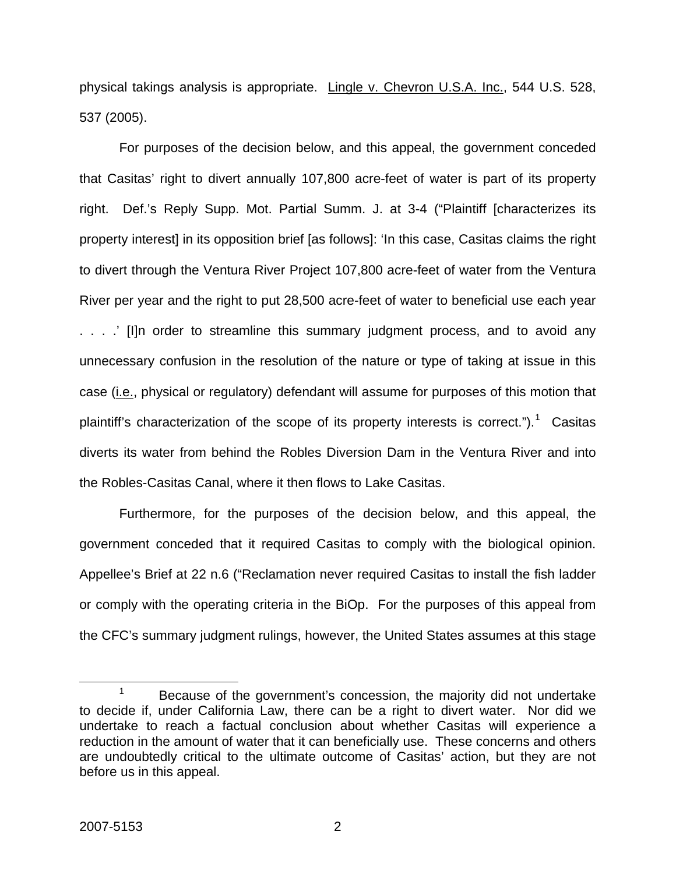physical takings analysis is appropriate. Lingle v. Chevron U.S.A. Inc., 544 U.S. 528, 537 (2005).

For purposes of the decision below, and this appeal, the government conceded that Casitas' right to divert annually 107,800 acre-feet of water is part of its property right. Def.'s Reply Supp. Mot. Partial Summ. J. at 3-4 ("Plaintiff [characterizes its property interest] in its opposition brief [as follows]: 'In this case, Casitas claims the right to divert through the Ventura River Project 107,800 acre-feet of water from the Ventura River per year and the right to put 28,500 acre-feet of water to beneficial use each year . . . .' [I]n order to streamline this summary judgment process, and to avoid any unnecessary confusion in the resolution of the nature or type of taking at issue in this case (*i.e.*, physical or regulatory) defendant will assume for purposes of this motion that plaintiff's characterization of the scope of its property interests is correct.").<sup>[1](#page-5-0)</sup> Casitas diverts its water from behind the Robles Diversion Dam in the Ventura River and into the Robles-Casitas Canal, where it then flows to Lake Casitas.

Furthermore, for the purposes of the decision below, and this appeal, the government conceded that it required Casitas to comply with the biological opinion. Appellee's Brief at 22 n.6 ("Reclamation never required Casitas to install the fish ladder or comply with the operating criteria in the BiOp. For the purposes of this appeal from the CFC's summary judgment rulings, however, the United States assumes at this stage

<span id="page-5-0"></span> <sup>1</sup>  $1$  Because of the government's concession, the majority did not undertake to decide if, under California Law, there can be a right to divert water. Nor did we undertake to reach a factual conclusion about whether Casitas will experience a reduction in the amount of water that it can beneficially use. These concerns and others are undoubtedly critical to the ultimate outcome of Casitas' action, but they are not before us in this appeal.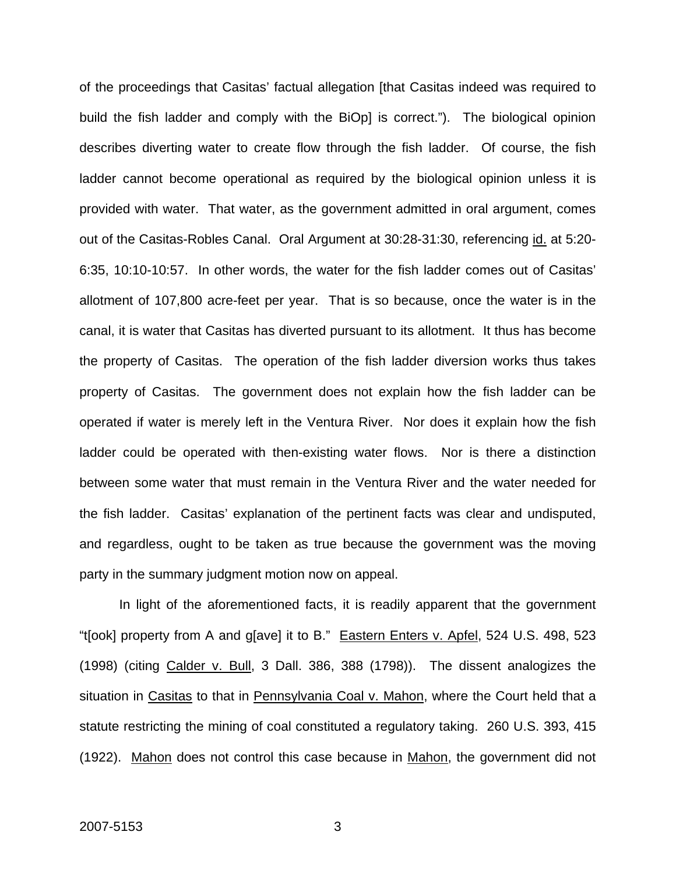of the proceedings that Casitas' factual allegation [that Casitas indeed was required to build the fish ladder and comply with the BiOp] is correct."). The biological opinion describes diverting water to create flow through the fish ladder. Of course, the fish ladder cannot become operational as required by the biological opinion unless it is provided with water. That water, as the government admitted in oral argument, comes out of the Casitas-Robles Canal. Oral Argument at 30:28-31:30, referencing id. at 5:20- 6:35, 10:10-10:57. In other words, the water for the fish ladder comes out of Casitas' allotment of 107,800 acre-feet per year. That is so because, once the water is in the canal, it is water that Casitas has diverted pursuant to its allotment. It thus has become the property of Casitas. The operation of the fish ladder diversion works thus takes property of Casitas. The government does not explain how the fish ladder can be operated if water is merely left in the Ventura River. Nor does it explain how the fish ladder could be operated with then-existing water flows. Nor is there a distinction between some water that must remain in the Ventura River and the water needed for the fish ladder. Casitas' explanation of the pertinent facts was clear and undisputed, and regardless, ought to be taken as true because the government was the moving party in the summary judgment motion now on appeal.

In light of the aforementioned facts, it is readily apparent that the government "t[ook] property from A and g[ave] it to B." Eastern Enters v. Apfel, 524 U.S. 498, 523 (1998) (citing Calder v. Bull, 3 Dall. 386, 388 (1798)). The dissent analogizes the situation in Casitas to that in Pennsylvania Coal v. Mahon, where the Court held that a statute restricting the mining of coal constituted a regulatory taking. 260 U.S. 393, 415 (1922). Mahon does not control this case because in Mahon, the government did not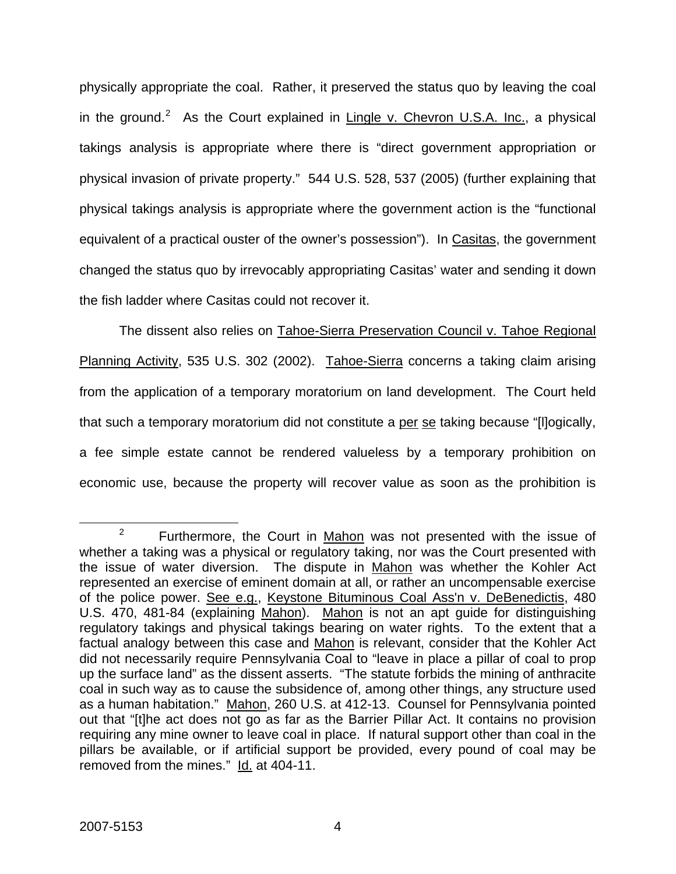physically appropriate the coal. Rather, it preserved the status quo by leaving the coal in the ground.<sup>[2](#page-7-0)</sup> As the Court explained in Lingle v. Chevron U.S.A. Inc., a physical takings analysis is appropriate where there is "direct government appropriation or physical invasion of private property." 544 U.S. 528, 537 (2005) (further explaining that physical takings analysis is appropriate where the government action is the "functional equivalent of a practical ouster of the owner's possession"). In Casitas, the government changed the status quo by irrevocably appropriating Casitas' water and sending it down the fish ladder where Casitas could not recover it.

The dissent also relies on Tahoe-Sierra Preservation Council v. Tahoe Regional Planning Activity, 535 U.S. 302 (2002). Tahoe-Sierra concerns a taking claim arising from the application of a temporary moratorium on land development. The Court held that such a temporary moratorium did not constitute a per se taking because "[l]ogically, a fee simple estate cannot be rendered valueless by a temporary prohibition on economic use, because the property will recover value as soon as the prohibition is

<span id="page-7-0"></span> $\frac{1}{2}$  $2^2$  Furthermore, the Court in Mahon was not presented with the issue of whether a taking was a physical or regulatory taking, nor was the Court presented with the issue of water diversion. The dispute in Mahon was whether the Kohler Act represented an exercise of eminent domain at all, or rather an uncompensable exercise of the police power. See e.g., Keystone Bituminous Coal Ass'n v. DeBenedictis, 480 U.S. 470, 481-84 (explaining Mahon). Mahon is not an apt guide for distinguishing regulatory takings and physical takings bearing on water rights. To the extent that a factual analogy between this case and Mahon is relevant, consider that the Kohler Act did not necessarily require Pennsylvania Coal to "leave in place a pillar of coal to prop up the surface land" as the dissent asserts. "The statute forbids the mining of anthracite coal in such way as to cause the subsidence of, among other things, any structure used as a human habitation." Mahon, 260 U.S. at 412-13. Counsel for Pennsylvania pointed out that "[t]he act does not go as far as the Barrier Pillar Act. It contains no provision requiring any mine owner to leave coal in place. If natural support other than coal in the pillars be available, or if artificial support be provided, every pound of coal may be removed from the mines." Id. at 404-11.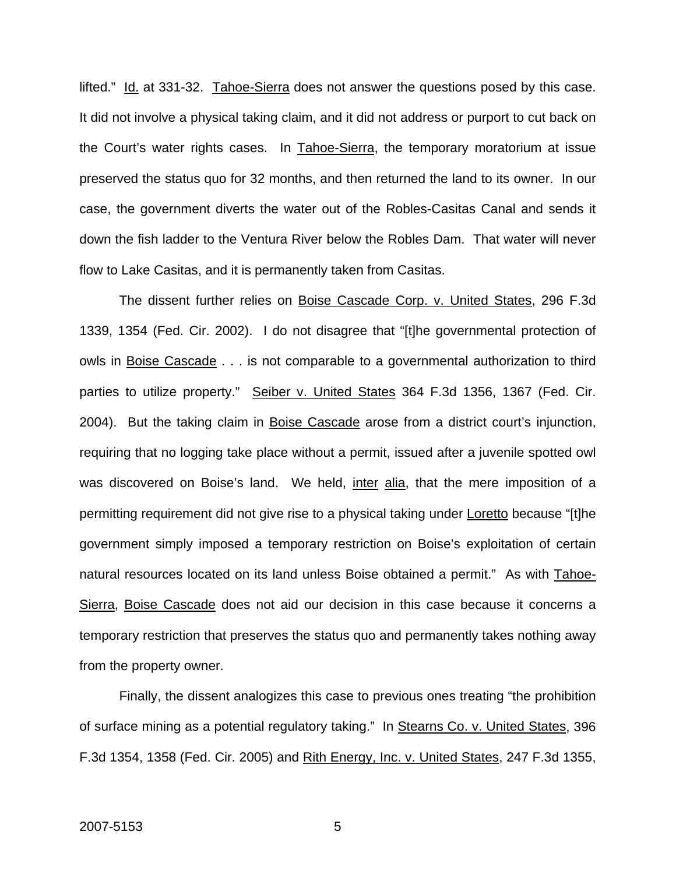lifted." Id. at 331-32. Tahoe-Sierra does not answer the questions posed by this case. It did not involve a physical taking claim, and it did not address or purport to cut back on the Court's water rights cases. In Tahoe-Sierra, the temporary moratorium at issue preserved the status quo for 32 months, and then returned the land to its owner. In our case, the government diverts the water out of the Robles-Casitas Canal and sends it down the fish ladder to the Ventura River below the Robles Dam. That water will never flow to Lake Casitas, and it is permanently taken from Casitas.

The dissent further relies on Boise Cascade Corp. v. United States, 296 F.3d 1339, 1354 (Fed. Cir. 2002). I do not disagree that "[t]he governmental protection of owls in Boise Cascade . . . is not comparable to a governmental authorization to third parties to utilize property." Seiber v. United States 364 F.3d 1356, 1367 (Fed. Cir. 2004). But the taking claim in Boise Cascade arose from a district court's injunction, requiring that no logging take place without a permit, issued after a juvenile spotted owl was discovered on Boise's land. We held, inter alia, that the mere imposition of a permitting requirement did not give rise to a physical taking under Loretto because "[t]he government simply imposed a temporary restriction on Boise's exploitation of certain natural resources located on its land unless Boise obtained a permit." As with Tahoe-Sierra, Boise Cascade does not aid our decision in this case because it concerns a temporary restriction that preserves the status quo and permanently takes nothing away from the property owner.

Finally, the dissent analogizes this case to previous ones treating "the prohibition of surface mining as a potential regulatory taking." In Stearns Co. v. United States, 396 F.3d 1354, 1358 (Fed. Cir. 2005) and Rith Energy, Inc. v. United States, 247 F.3d 1355,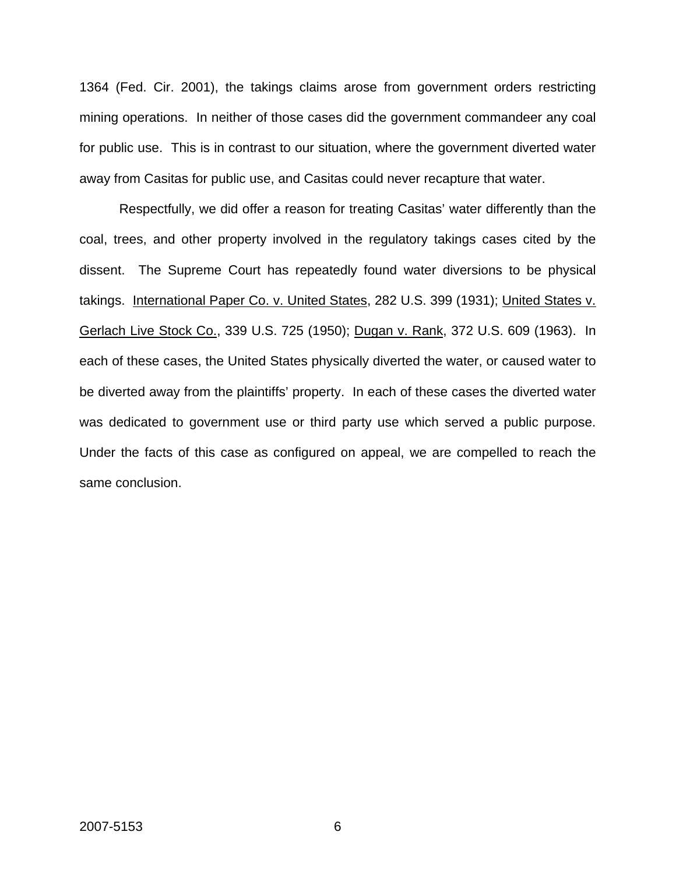1364 (Fed. Cir. 2001), the takings claims arose from government orders restricting mining operations. In neither of those cases did the government commandeer any coal for public use. This is in contrast to our situation, where the government diverted water away from Casitas for public use, and Casitas could never recapture that water.

Respectfully, we did offer a reason for treating Casitas' water differently than the coal, trees, and other property involved in the regulatory takings cases cited by the dissent. The Supreme Court has repeatedly found water diversions to be physical takings. International Paper Co. v. United States, 282 U.S. 399 (1931); United States v. Gerlach Live Stock Co., 339 U.S. 725 (1950); Dugan v. Rank, 372 U.S. 609 (1963). In each of these cases, the United States physically diverted the water, or caused water to be diverted away from the plaintiffs' property. In each of these cases the diverted water was dedicated to government use or third party use which served a public purpose. Under the facts of this case as configured on appeal, we are compelled to reach the same conclusion.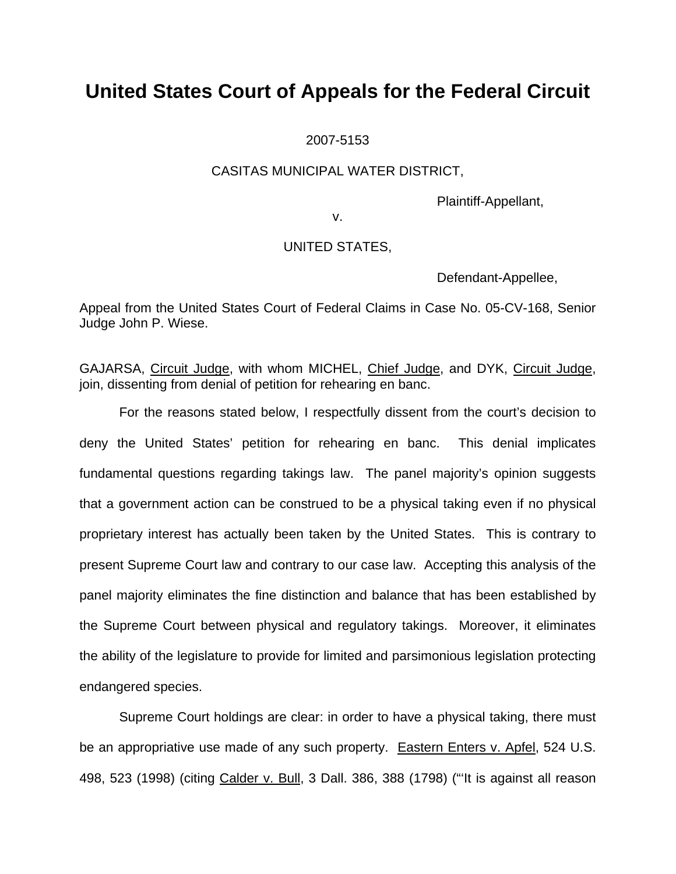#### 2007-5153

### CASITAS MUNICIPAL WATER DISTRICT,

Plaintiff-Appellant,

v.

### UNITED STATES,

Defendant-Appellee,

Appeal from the United States Court of Federal Claims in Case No. 05-CV-168, Senior Judge John P. Wiese.

GAJARSA, Circuit Judge, with whom MICHEL, Chief Judge, and DYK, Circuit Judge, join, dissenting from denial of petition for rehearing en banc.

For the reasons stated below, I respectfully dissent from the court's decision to deny the United States' petition for rehearing en banc. This denial implicates fundamental questions regarding takings law. The panel majority's opinion suggests that a government action can be construed to be a physical taking even if no physical proprietary interest has actually been taken by the United States. This is contrary to present Supreme Court law and contrary to our case law. Accepting this analysis of the panel majority eliminates the fine distinction and balance that has been established by the Supreme Court between physical and regulatory takings. Moreover, it eliminates the ability of the legislature to provide for limited and parsimonious legislation protecting endangered species.

Supreme Court holdings are clear: in order to have a physical taking, there must be an appropriative use made of any such property. Eastern Enters v. Apfel, 524 U.S. 498, 523 (1998) (citing Calder v. Bull, 3 Dall. 386, 388 (1798) ("'It is against all reason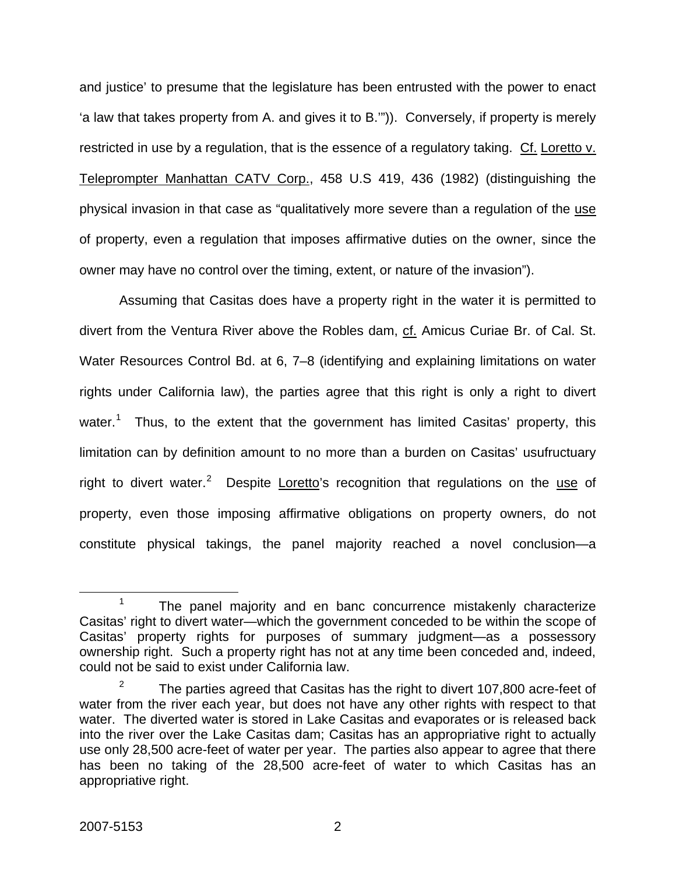and justice' to presume that the legislature has been entrusted with the power to enact 'a law that takes property from A. and gives it to B.'")). Conversely, if property is merely restricted in use by a regulation, that is the essence of a regulatory taking. Cf. Loretto v. Teleprompter Manhattan CATV Corp., 458 U.S 419, 436 (1982) (distinguishing the physical invasion in that case as "qualitatively more severe than a regulation of the use of property, even a regulation that imposes affirmative duties on the owner, since the owner may have no control over the timing, extent, or nature of the invasion").

Assuming that Casitas does have a property right in the water it is permitted to divert from the Ventura River above the Robles dam, cf. Amicus Curiae Br. of Cal. St. Water Resources Control Bd. at 6, 7–8 (identifying and explaining limitations on water rights under California law), the parties agree that this right is only a right to divert water.<sup>[1](#page-11-0)</sup> Thus, to the extent that the government has limited Casitas' property, this limitation can by definition amount to no more than a burden on Casitas' usufructuary right to divert water.<sup>[2](#page-11-1)</sup> Despite Loretto's recognition that regulations on the use of property, even those imposing affirmative obligations on property owners, do not constitute physical takings, the panel majority reached a novel conclusion—a

<span id="page-11-0"></span> $\frac{1}{1}$  $1$  The panel majority and en banc concurrence mistakenly characterize Casitas' right to divert water—which the government conceded to be within the scope of Casitas' property rights for purposes of summary judgment—as a possessory ownership right. Such a property right has not at any time been conceded and, indeed, could not be said to exist under California law.

<span id="page-11-1"></span><sup>2</sup> The parties agreed that Casitas has the right to divert 107,800 acre-feet of water from the river each year, but does not have any other rights with respect to that water. The diverted water is stored in Lake Casitas and evaporates or is released back into the river over the Lake Casitas dam; Casitas has an appropriative right to actually use only 28,500 acre-feet of water per year. The parties also appear to agree that there has been no taking of the 28,500 acre-feet of water to which Casitas has an appropriative right.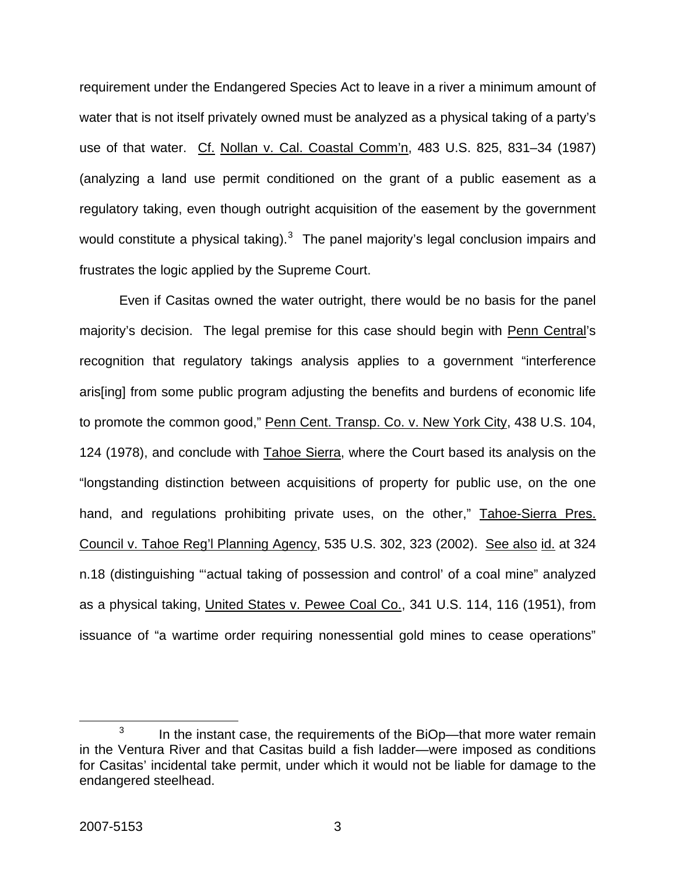requirement under the Endangered Species Act to leave in a river a minimum amount of water that is not itself privately owned must be analyzed as a physical taking of a party's use of that water. Cf. Nollan v. Cal. Coastal Comm'n, 483 U.S. 825, 831–34 (1987) (analyzing a land use permit conditioned on the grant of a public easement as a regulatory taking, even though outright acquisition of the easement by the government would constitute a physical taking). $3$  The panel majority's legal conclusion impairs and frustrates the logic applied by the Supreme Court.

Even if Casitas owned the water outright, there would be no basis for the panel majority's decision. The legal premise for this case should begin with Penn Central's recognition that regulatory takings analysis applies to a government "interference aris[ing] from some public program adjusting the benefits and burdens of economic life to promote the common good," Penn Cent. Transp. Co. v. New York City, 438 U.S. 104, 124 (1978), and conclude with Tahoe Sierra, where the Court based its analysis on the "longstanding distinction between acquisitions of property for public use, on the one hand, and regulations prohibiting private uses, on the other," Tahoe-Sierra Pres. Council v. Tahoe Reg'l Planning Agency, 535 U.S. 302, 323 (2002). See also id. at 324 n.18 (distinguishing "'actual taking of possession and control' of a coal mine" analyzed as a physical taking, United States v. Pewee Coal Co., 341 U.S. 114, 116 (1951), from issuance of "a wartime order requiring nonessential gold mines to cease operations"

<span id="page-12-0"></span> $\overline{\phantom{a}}$  3  $3 \cdot$  In the instant case, the requirements of the BiOp—that more water remain in the Ventura River and that Casitas build a fish ladder—were imposed as conditions for Casitas' incidental take permit, under which it would not be liable for damage to the endangered steelhead.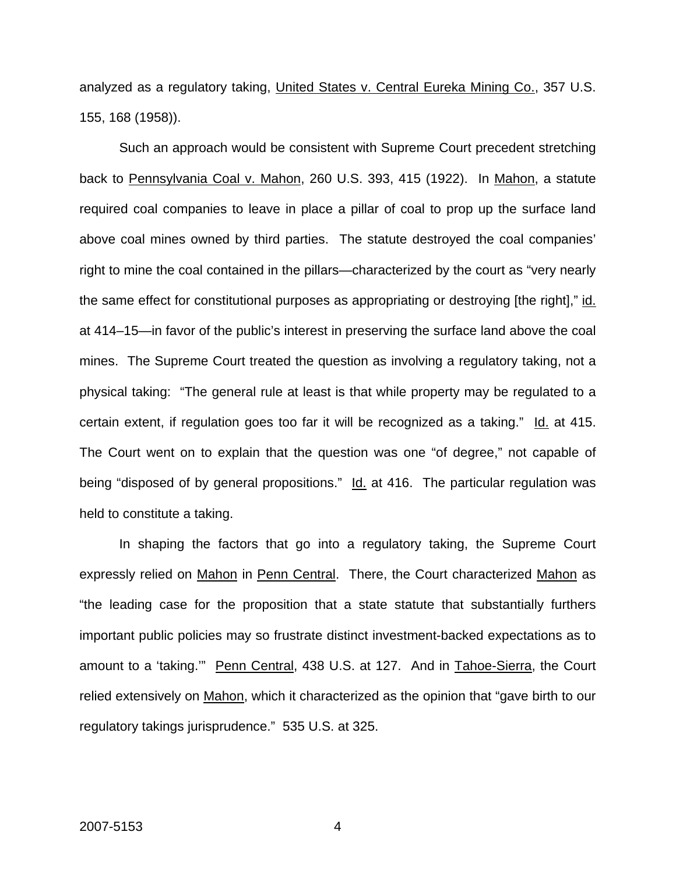analyzed as a regulatory taking, United States v. Central Eureka Mining Co., 357 U.S. 155, 168 (1958)).

Such an approach would be consistent with Supreme Court precedent stretching back to Pennsylvania Coal v. Mahon, 260 U.S. 393, 415 (1922). In Mahon, a statute required coal companies to leave in place a pillar of coal to prop up the surface land above coal mines owned by third parties. The statute destroyed the coal companies' right to mine the coal contained in the pillars—characterized by the court as "very nearly the same effect for constitutional purposes as appropriating or destroying [the right]," id. at 414–15—in favor of the public's interest in preserving the surface land above the coal mines. The Supreme Court treated the question as involving a regulatory taking, not a physical taking: "The general rule at least is that while property may be regulated to a certain extent, if regulation goes too far it will be recognized as a taking." Id. at 415. The Court went on to explain that the question was one "of degree," not capable of being "disposed of by general propositions." Id. at 416. The particular regulation was held to constitute a taking.

In shaping the factors that go into a regulatory taking, the Supreme Court expressly relied on Mahon in Penn Central. There, the Court characterized Mahon as "the leading case for the proposition that a state statute that substantially furthers important public policies may so frustrate distinct investment-backed expectations as to amount to a 'taking." Penn Central, 438 U.S. at 127. And in Tahoe-Sierra, the Court relied extensively on Mahon, which it characterized as the opinion that "gave birth to our regulatory takings jurisprudence." 535 U.S. at 325.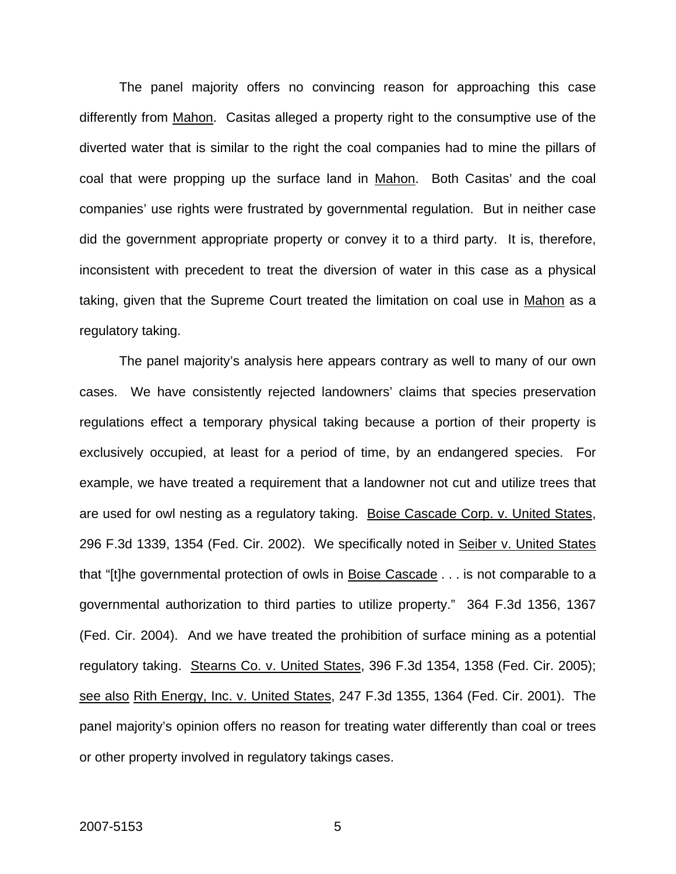The panel majority offers no convincing reason for approaching this case differently from Mahon. Casitas alleged a property right to the consumptive use of the diverted water that is similar to the right the coal companies had to mine the pillars of coal that were propping up the surface land in Mahon. Both Casitas' and the coal companies' use rights were frustrated by governmental regulation. But in neither case did the government appropriate property or convey it to a third party. It is, therefore, inconsistent with precedent to treat the diversion of water in this case as a physical taking, given that the Supreme Court treated the limitation on coal use in Mahon as a regulatory taking.

The panel majority's analysis here appears contrary as well to many of our own cases. We have consistently rejected landowners' claims that species preservation regulations effect a temporary physical taking because a portion of their property is exclusively occupied, at least for a period of time, by an endangered species. For example, we have treated a requirement that a landowner not cut and utilize trees that are used for owl nesting as a regulatory taking. Boise Cascade Corp. v. United States, 296 F.3d 1339, 1354 (Fed. Cir. 2002). We specifically noted in Seiber v. United States that "[t]he governmental protection of owls in Boise Cascade . . . is not comparable to a governmental authorization to third parties to utilize property." 364 F.3d 1356, 1367 (Fed. Cir. 2004). And we have treated the prohibition of surface mining as a potential regulatory taking. Stearns Co. v. United States, 396 F.3d 1354, 1358 (Fed. Cir. 2005); see also Rith Energy, Inc. v. United States, 247 F.3d 1355, 1364 (Fed. Cir. 2001). The panel majority's opinion offers no reason for treating water differently than coal or trees or other property involved in regulatory takings cases.